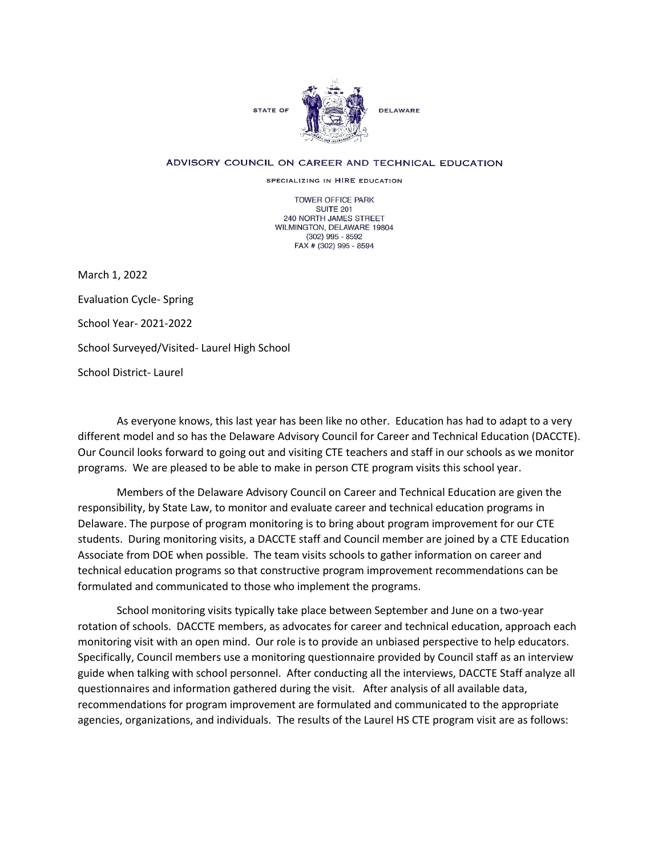

## ADVISORY COUNCIL ON CAREER AND TECHNICAL EDUCATION

SPECIALIZING IN HIRE EDUCATION

TOWER OFFICE PARK SUITE 201 240 NORTH JAMES STREET WILMINGTON, DELAWARE 19804 (302) 995 - 8592 FAX # (302) 995 - 8594

March 1, 2022 Evaluation Cycle- Spring School Year- 2021-2022 School Surveyed/Visited- Laurel High School School District- Laurel

As everyone knows, this last year has been like no other. Education has had to adapt to a very different model and so has the Delaware Advisory Council for Career and Technical Education (DACCTE). Our Council looks forward to going out and visiting CTE teachers and staff in our schools as we monitor programs. We are pleased to be able to make in person CTE program visits this school year.

Members of the Delaware Advisory Council on Career and Technical Education are given the responsibility, by State Law, to monitor and evaluate career and technical education programs in Delaware. The purpose of program monitoring is to bring about program improvement for our CTE students. During monitoring visits, a DACCTE staff and Council member are joined by a CTE Education Associate from DOE when possible. The team visits schools to gather information on career and technical education programs so that constructive program improvement recommendations can be formulated and communicated to those who implement the programs.

School monitoring visits typically take place between September and June on a two-year rotation of schools. DACCTE members, as advocates for career and technical education, approach each monitoring visit with an open mind. Our role is to provide an unbiased perspective to help educators. Specifically, Council members use a monitoring questionnaire provided by Council staff as an interview guide when talking with school personnel. After conducting all the interviews, DACCTE Staff analyze all questionnaires and information gathered during the visit. After analysis of all available data, recommendations for program improvement are formulated and communicated to the appropriate agencies, organizations, and individuals. The results of the Laurel HS CTE program visit are as follows: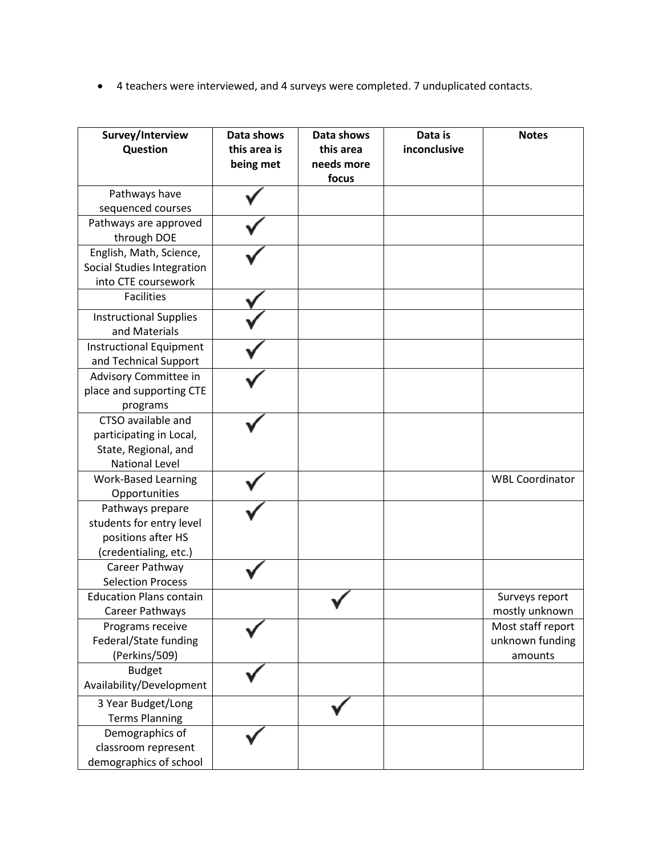• 4 teachers were interviewed, and 4 surveys were completed. 7 unduplicated contacts.

| Survey/Interview<br>Question   | Data shows<br>this area is<br>being met | Data shows<br>this area<br>needs more<br>focus | Data is<br>inconclusive | <b>Notes</b>           |
|--------------------------------|-----------------------------------------|------------------------------------------------|-------------------------|------------------------|
| Pathways have                  |                                         |                                                |                         |                        |
| sequenced courses              |                                         |                                                |                         |                        |
| Pathways are approved          |                                         |                                                |                         |                        |
| through DOE                    |                                         |                                                |                         |                        |
| English, Math, Science,        |                                         |                                                |                         |                        |
| Social Studies Integration     |                                         |                                                |                         |                        |
| into CTE coursework            |                                         |                                                |                         |                        |
| <b>Facilities</b>              |                                         |                                                |                         |                        |
| <b>Instructional Supplies</b>  |                                         |                                                |                         |                        |
| and Materials                  |                                         |                                                |                         |                        |
| <b>Instructional Equipment</b> |                                         |                                                |                         |                        |
| and Technical Support          |                                         |                                                |                         |                        |
| Advisory Committee in          |                                         |                                                |                         |                        |
| place and supporting CTE       |                                         |                                                |                         |                        |
| programs                       |                                         |                                                |                         |                        |
| CTSO available and             |                                         |                                                |                         |                        |
| participating in Local,        |                                         |                                                |                         |                        |
| State, Regional, and           |                                         |                                                |                         |                        |
| <b>National Level</b>          |                                         |                                                |                         |                        |
| <b>Work-Based Learning</b>     |                                         |                                                |                         | <b>WBL Coordinator</b> |
| Opportunities                  |                                         |                                                |                         |                        |
| Pathways prepare               |                                         |                                                |                         |                        |
| students for entry level       |                                         |                                                |                         |                        |
| positions after HS             |                                         |                                                |                         |                        |
| (credentialing, etc.)          |                                         |                                                |                         |                        |
| Career Pathway                 |                                         |                                                |                         |                        |
| <b>Selection Process</b>       |                                         |                                                |                         |                        |
| <b>Education Plans contain</b> |                                         |                                                |                         | Surveys report         |
| Career Pathways                |                                         |                                                |                         | mostly unknown         |
| Programs receive               |                                         |                                                |                         | Most staff report      |
| Federal/State funding          |                                         |                                                |                         | unknown funding        |
| (Perkins/509)                  |                                         |                                                |                         | amounts                |
| <b>Budget</b>                  |                                         |                                                |                         |                        |
| Availability/Development       |                                         |                                                |                         |                        |
| 3 Year Budget/Long             |                                         |                                                |                         |                        |
| <b>Terms Planning</b>          |                                         |                                                |                         |                        |
| Demographics of                |                                         |                                                |                         |                        |
| classroom represent            |                                         |                                                |                         |                        |
| demographics of school         |                                         |                                                |                         |                        |